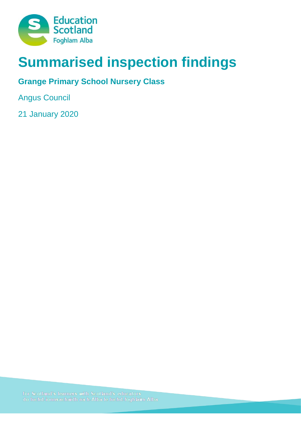

# **Summarised inspection findings**

## **Grange Primary School Nursery Class**

Angus Council

21 January 2020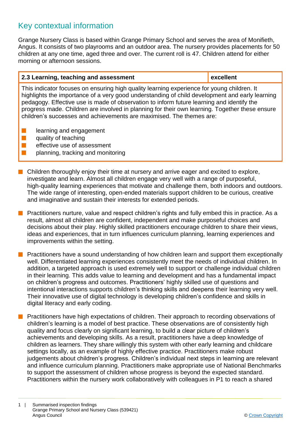### Key contextual information

Grange Nursery Class is based within Grange Primary School and serves the area of Monifieth, Angus. It consists of two playrooms and an outdoor area. The nursery provides placements for 50 children at any one time, aged three and over. The current roll is 47. Children attend for either morning or afternoon sessions.

#### **2.3 Learning, teaching and assessment excellent**

This indicator focuses on ensuring high quality learning experience for young children. It highlights the importance of a very good understanding of child development and early learning pedagogy. Effective use is made of observation to inform future learning and identify the progress made. Children are involved in planning for their own learning. Together these ensure children's successes and achievements are maximised. The themes are:

- $\blacksquare$  learning and engagement
- $\blacksquare$  quality of teaching
- $\blacksquare$  effective use of assessment
- $\blacksquare$  planning, tracking and monitoring
- $\blacksquare$  Children thoroughly enjoy their time at nursery and arrive eager and excited to explore, investigate and learn. Almost all children engage very well with a range of purposeful, high-quality learning experiences that motivate and challenge them, both indoors and outdoors. The wide range of interesting, open-ended materials support children to be curious, creative and imaginative and sustain their interests for extended periods.
- **n** Practitioners nurture, value and respect children's rights and fully embed this in practice. As a result, almost all children are confident, independent and make purposeful choices and decisions about their play. Highly skilled practitioners encourage children to share their views, ideas and experiences, that in turn influences curriculum planning, learning experiences and improvements within the setting.
- **n** Practitioners have a sound understanding of how children learn and support them exceptionally well. Differentiated learning experiences consistently meet the needs of individual children. In addition, a targeted approach is used extremely well to support or challenge individual children in their learning. This adds value to learning and development and has a fundamental impact on children's progress and outcomes. Practitioners' highly skilled use of questions and intentional interactions supports children's thinking skills and deepens their learning very well. Their innovative use of digital technology is developing children's confidence and skills in digital literacy and early coding.
- **n** Practitioners have high expectations of children. Their approach to recording observations of children's learning is a model of best practice. These observations are of consistently high quality and focus clearly on significant learning, to build a clear picture of children's achievements and developing skills. As a result, practitioners have a deep knowledge of children as learners. They share willingly this system with other early learning and childcare settings locally, as an example of highly effective practice. Practitioners make robust judgements about children's progress. Children's individual next steps in learning are relevant and influence curriculum planning. Practitioners make appropriate use of National Benchmarks to support the assessment of children whose progress is beyond the expected standard. Practitioners within the nursery work collaboratively with colleagues in P1 to reach a shared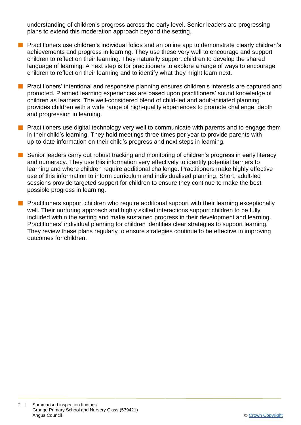understanding of children's progress across the early level. Senior leaders are progressing plans to extend this moderation approach beyond the setting.

- **n** Practitioners use children's individual folios and an online app to demonstrate clearly children's achievements and progress in learning. They use these very well to encourage and support children to reflect on their learning. They naturally support children to develop the shared language of learning. A next step is for practitioners to explore a range of ways to encourage children to reflect on their learning and to identify what they might learn next.
- **n** Practitioners' intentional and responsive planning ensures children's interests are captured and promoted. Planned learning experiences are based upon practitioners' sound knowledge of children as learners. The well-considered blend of child-led and adult-initiated planning provides children with a wide range of high-quality experiences to promote challenge, depth and progression in learning.
- **n** Practitioners use digital technology very well to communicate with parents and to engage them in their child's learning. They hold meetings three times per year to provide parents with up-to-date information on their child's progress and next steps in learning.
- **n** Senior leaders carry out robust tracking and monitoring of children's progress in early literacy and numeracy. They use this information very effectively to identify potential barriers to learning and where children require additional challenge. Practitioners make highly effective use of this information to inform curriculum and individualised planning. Short, adult-led sessions provide targeted support for children to ensure they continue to make the best possible progress in learning.
- **n** Practitioners support children who require additional support with their learning exceptionally well. Their nurturing approach and highly skilled interactions support children to be fully included within the setting and make sustained progress in their development and learning. Practitioners' individual planning for children identifies clear strategies to support learning. They review these plans regularly to ensure strategies continue to be effective in improving outcomes for children.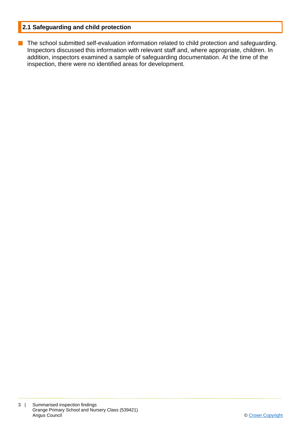#### **2.1 Safeguarding and child protection**

**n** The school submitted self-evaluation information related to child protection and safeguarding. Inspectors discussed this information with relevant staff and, where appropriate, children. In addition, inspectors examined a sample of safeguarding documentation. At the time of the inspection, there were no identified areas for development.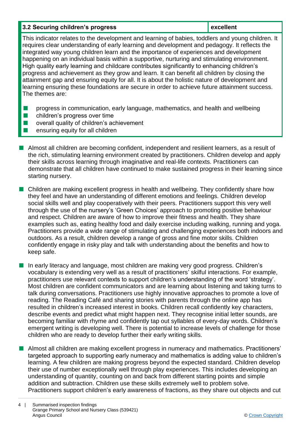#### **3.2 Securing children's progress <b>excellent**

This indicator relates to the development and learning of babies, toddlers and young children. It requires clear understanding of early learning and development and pedagogy. It reflects the integrated way young children learn and the importance of experiences and development happening on an individual basis within a supportive, nurturing and stimulating environment. High quality early learning and childcare contributes significantly to enhancing children's progress and achievement as they grow and learn. It can benefit all children by closing the attainment gap and ensuring equity for all. It is about the holistic nature of development and learning ensuring these foundations are secure in order to achieve future attainment success. The themes are:

- **n** progress in communication, early language, mathematics, and health and wellbeing
- $\blacksquare$  children's progress over time
- $\blacksquare$  overall quality of children's achievement
- n ensuring equity for all children
- n Almost all children are becoming confident, independent and resilient learners, as a result of the rich, stimulating learning environment created by practitioners. Children develop and apply their skills across learning through imaginative and real-life contexts. Practitioners can demonstrate that all children have continued to make sustained progress in their learning since starting nursery.
- $\blacksquare$  Children are making excellent progress in health and wellbeing. They confidently share how they feel and have an understanding of different emotions and feelings. Children develop social skills well and play cooperatively with their peers. Practitioners support this very well through the use of the nursery's 'Green Choices' approach to promoting positive behaviour and respect. Children are aware of how to improve their fitness and health. They share examples such as, eating healthy food and daily exercise including walking, running and yoga. Practitioners provide a wide range of stimulating and challenging experiences both indoors and outdoors. As a result, children develop a range of gross and fine motor skills. Children confidently engage in risky play and talk with understanding about the benefits and how to keep safe.
- In early literacy and language, most children are making very good progress. Children's vocabulary is extending very well as a result of practitioners' skilful interactions. For example, practitioners use relevant contexts to support children's understanding of the word 'strategy'. Most children are confident communicators and are learning about listening and taking turns to talk during conversations. Practitioners use highly innovative approaches to promote a love of reading. The Reading Café and sharing stories with parents through the online app has resulted in children's increased interest in books. Children recall confidently key characters, describe events and predict what might happen next. They recognise initial letter sounds, are becoming familiar with rhyme and confidently tap out syllables of every-day words. Children's emergent writing is developing well. There is potential to increase levels of challenge for those children who are ready to develop further their early writing skills.
- **n** Almost all children are making excellent progress in numeracy and mathematics. Practitioners' targeted approach to supporting early numeracy and mathematics is adding value to children's learning. A few children are making progress beyond the expected standard. Children develop their use of number exceptionally well through play experiences. This includes developing an understanding of quantity, counting on and back from different starting points and simple addition and subtraction. Children use these skills extremely well to problem solve. Practitioners support children's early awareness of fractions, as they share out objects and cut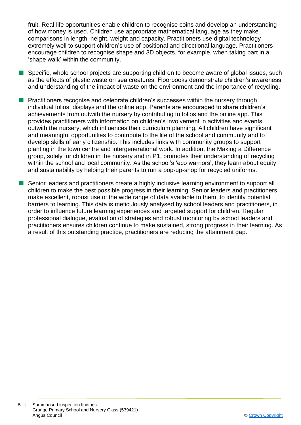fruit. Real-life opportunities enable children to recognise coins and develop an understanding of how money is used. Children use appropriate mathematical language as they make comparisons in length, height, weight and capacity. Practitioners use digital technology extremely well to support children's use of positional and directional language. Practitioners encourage children to recognise shape and 3D objects, for example, when taking part in a 'shape walk' within the community.

- Specific, whole school projects are supporting children to become aware of global issues, such as the effects of plastic waste on sea creatures. Floorbooks demonstrate children's awareness and understanding of the impact of waste on the environment and the importance of recycling.
- Practitioners recognise and celebrate children's successes within the nursery through individual folios, displays and the online app. Parents are encouraged to share children's achievements from outwith the nursery by contributing to folios and the online app. This provides practitioners with information on children's involvement in activities and events outwith the nursery, which influences their curriculum planning. All children have significant and meaningful opportunities to contribute to the life of the school and community and to develop skills of early citizenship. This includes links with community groups to support planting in the town centre and intergenerational work. In addition, the Making a Difference group, solely for children in the nursery and in P1, promotes their understanding of recycling within the school and local community. As the school's 'eco warriors', they learn about equity and sustainability by helping their parents to run a pop-up-shop for recycled uniforms.
- Senior leaders and practitioners create a highly inclusive learning environment to support all children to make the best possible progress in their learning. Senior leaders and practitioners make excellent, robust use of the wide range of data available to them, to identify potential barriers to learning. This data is meticulously analysed by school leaders and practitioners, in order to influence future learning experiences and targeted support for children. Regular professional dialogue, evaluation of strategies and robust monitoring by school leaders and practitioners ensures children continue to make sustained, strong progress in their learning. As a result of this outstanding practice, practitioners are reducing the attainment gap.